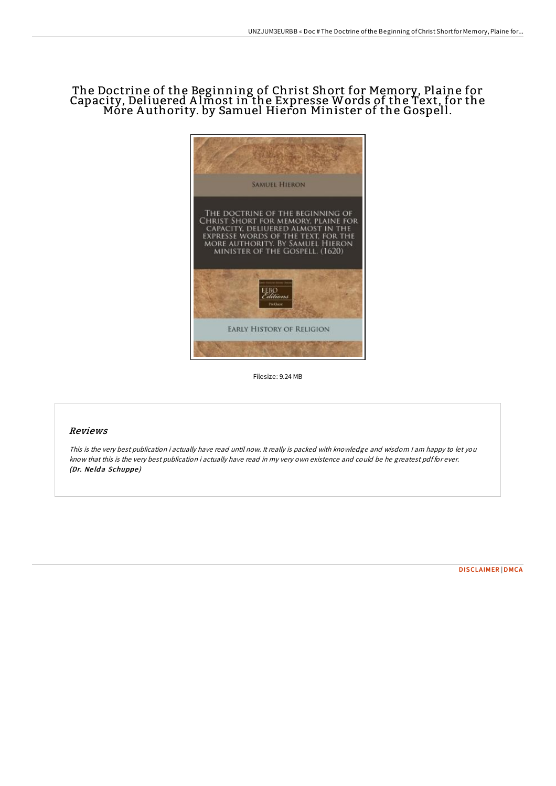# The Doctrine of the Beginning of Christ Short for Memory, Plaine for Capacity, Deliuered A lmost in the Expresse Words of the Text, for the More A uthority. by Samuel Hieron Minister of the Gospell.



Filesize: 9.24 MB

## Reviews

This is the very best publication i actually have read until now. It really is packed with knowledge and wisdom I am happy to let you know that this is the very best publication i actually have read in my very own existence and could be he greatest pdf for ever. (Dr. Ne ld <sup>a</sup> Schuppe )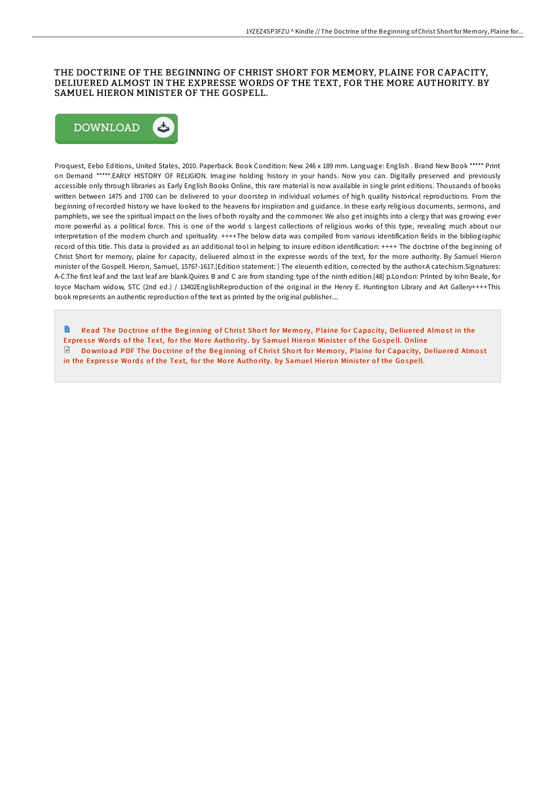### THE DOCTRINE OF THE BEGINNING OF CHRIST SHORT FOR MEMORY, PLAINE FOR CAPACITY, DELIUERED ALMOST IN THE EXPRESSE WORDS OF THE TEXT, FOR THE MORE AUTHORITY. BY SAMUEL HIERON MINISTER OF THE GOSPELL.



Proquest, Eebo Editions, United States, 2010. Paperback. Book Condition: New. 246 x 189 mm. Language: English . Brand New Book \*\*\*\*\* Print on Demand \*\*\*\*\*.EARLY HISTORY OF RELIGION. Imagine holding history in your hands. Now you can. Digitally preserved and previously accessible only through libraries as Early English Books Online, this rare material is now available in single print editions. Thousands of books written between 1475 and 1700 can be delivered to your doorstep in individual volumes of high quality historical reproductions. From the beginning of recorded history we have looked to the heavens for inspiration and guidance. In these early religious documents, sermons, and pamphlets, we see the spiritual impact on the lives of both royalty and the commoner. We also get insights into a clergy that was growing ever more powerful as a political force. This is one of the world s largest collections of religious works of this type, revealing much about our interpretation of the modern church and spirituality. ++++The below data was compiled from various identification fields in the bibliographic record of this title. This data is provided as an additional tool in helping to insure edition identification: ++++ The doctrine of the beginning of Christ Short for memory, plaine for capacity, deliuered almost in the expresse words of the text, for the more authority. By Samuel Hieron minister of the Gospell. Hieron, Samuel, 1576?-1617.[Edition statement: ] The eleuenth edition, corrected by the author.A catechism.Signatures: A-C.The first leaf and the last leaf are blank.Quires B and C are from standing type of the ninth edition.[48] p.London: Printed by Iohn Beale, for Ioyce Macham widow, STC (2nd ed.) / 13402EnglishReproduction of the original in the Henry E. Huntington Library and Art Gallery++++This book represents an authentic reproduction of the text as printed by the original publisher....

Read The Doctrine of the Beginning of Christ Short for Memory, Plaine for [Capacity,](http://almighty24.tech/the-doctrine-of-the-beginning-of-christ-short-fo.html) Deliuered Almost in the Expresse Words of the Text, for the More Authority. by Samuel Hieron Minister of the Gospell. Online  $\Box$  Download PDF The Doctrine of the Beginning of Christ Short for Memory, Plaine for [Capacity,](http://almighty24.tech/the-doctrine-of-the-beginning-of-christ-short-fo.html) Deliuered Almost in the Expresse Words of the Text, for the More Authority. by Samuel Hieron Minister of the Gospell.